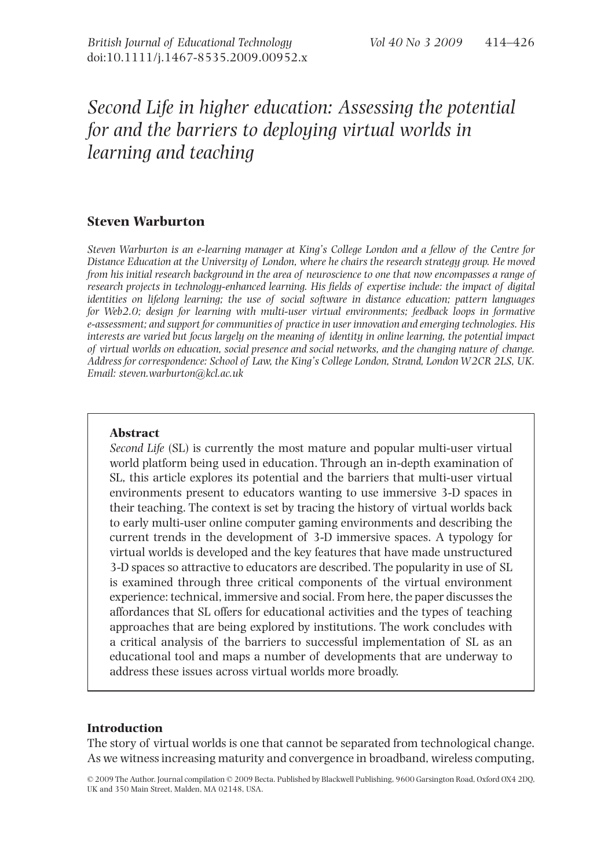# *Second Life in higher education: Assessing the potential for and the barriers to deploying virtual worlds in learning and teaching*

# **Steven Warburton**

*Steven Warburton is an e-learning manager at King's College London and a fellow of the Centre for Distance Education at the University of London, where he chairs the research strategy group. He moved from his initial research background in the area of neuroscience to one that now encompasses a range of research projects in technology-enhanced learning. His fields of expertise include: the impact of digital identities on lifelong learning; the use of social software in distance education; pattern languages for Web2.0; design for learning with multi-user virtual environments; feedback loops in formative e-assessment; and support for communities of practice in user innovation and emerging technologies. His interests are varied but focus largely on the meaning of identity in online learning, the potential impact of virtual worlds on education, social presence and social networks, and the changing nature of change. Address for correspondence: School of Law, the King's College London, Strand, London W2CR 2LS, UK. Email: steven[.warburton@kcl.ac.uk](mailto:warburton@kcl.ac.uk)*

#### **Abstract**

*Second Life* (SL) is currently the most mature and popular multi-user virtual world platform being used in education. Through an in-depth examination of SL, this article explores its potential and the barriers that multi-user virtual environments present to educators wanting to use immersive 3-D spaces in their teaching. The context is set by tracing the history of virtual worlds back to early multi-user online computer gaming environments and describing the current trends in the development of 3-D immersive spaces. A typology for virtual worlds is developed and the key features that have made unstructured 3-D spaces so attractive to educators are described. The popularity in use of SL is examined through three critical components of the virtual environment experience: technical, immersive and social. From here, the paper discusses the affordances that SL offers for educational activities and the types of teaching approaches that are being explored by institutions. The work concludes with a critical analysis of the barriers to successful implementation of SL as an educational tool and maps a number of developments that are underway to address these issues across virtual worlds more broadly.

#### **Introduction**

The story of virtual worlds is one that cannot be separated from technological change. As we witness increasing maturity and convergence in broadband, wireless computing,

© 2009 The Author. Journal compilation © 2009 Becta. Published by Blackwell Publishing, 9600 Garsington Road, Oxford OX4 2DQ, UK and 350 Main Street, Malden, MA 02148, USA.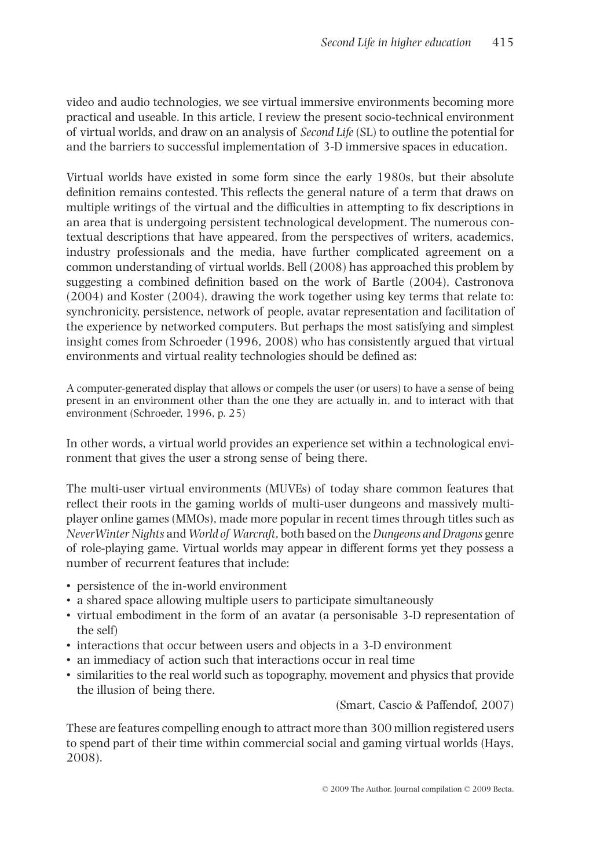video and audio technologies, we see virtual immersive environments becoming more practical and useable. In this article, I review the present socio-technical environment of virtual worlds, and draw on an analysis of *Second Life* (SL) to outline the potential for and the barriers to successful implementation of 3-D immersive spaces in education.

Virtual worlds have existed in some form since the early 1980s, but their absolute definition remains contested. This reflects the general nature of a term that draws on multiple writings of the virtual and the difficulties in attempting to fix descriptions in an area that is undergoing persistent technological development. The numerous contextual descriptions that have appeared, from the perspectives of writers, academics, industry professionals and the media, have further complicated agreement on a common understanding of virtual worlds. Bell (2008) has approached this problem by suggesting a combined definition based on the work of Bartle (2004), Castronova (2004) and Koster (2004), drawing the work together using key terms that relate to: synchronicity, persistence, network of people, avatar representation and facilitation of the experience by networked computers. But perhaps the most satisfying and simplest insight comes from Schroeder (1996, 2008) who has consistently argued that virtual environments and virtual reality technologies should be defined as:

A computer-generated display that allows or compels the user (or users) to have a sense of being present in an environment other than the one they are actually in, and to interact with that environment (Schroeder, 1996, p. 25)

In other words, a virtual world provides an experience set within a technological environment that gives the user a strong sense of being there.

The multi-user virtual environments (MUVEs) of today share common features that reflect their roots in the gaming worlds of multi-user dungeons and massively multiplayer online games (MMOs), made more popular in recent times through titles such as *NeverWinter Nights* and *World of Warcraft*, both based on the *Dungeons and Dragons* genre of role-playing game. Virtual worlds may appear in different forms yet they possess a number of recurrent features that include:

- persistence of the in-world environment
- a shared space allowing multiple users to participate simultaneously
- virtual embodiment in the form of an avatar (a personisable 3-D representation of the self)
- interactions that occur between users and objects in a 3-D environment
- an immediacy of action such that interactions occur in real time
- similarities to the real world such as topography, movement and physics that provide the illusion of being there.

(Smart, Cascio & Paffendof, 2007)

These are features compelling enough to attract more than 300 million registered users to spend part of their time within commercial social and gaming virtual worlds (Hays, 2008).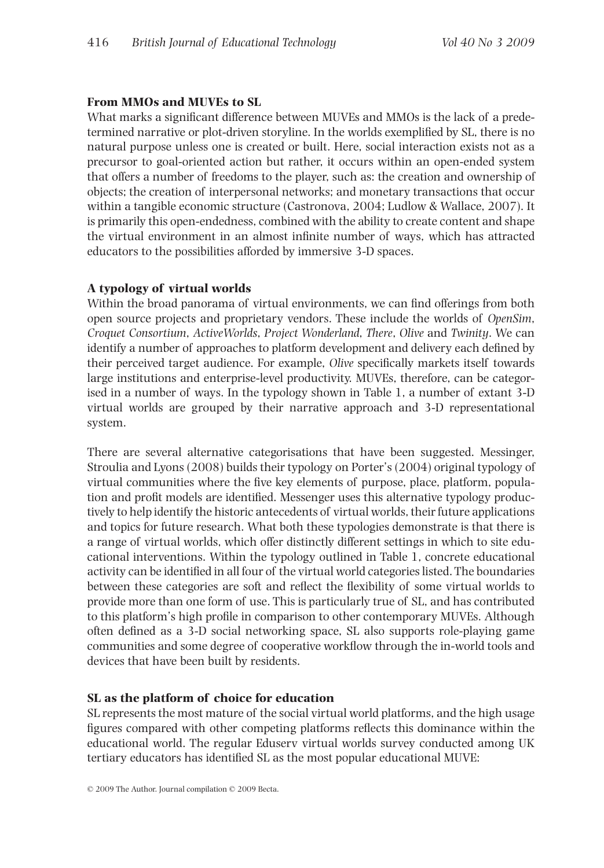#### **From MMOs and MUVEs to SL**

What marks a significant difference between MUVEs and MMOs is the lack of a predetermined narrative or plot-driven storyline. In the worlds exemplified by SL, there is no natural purpose unless one is created or built. Here, social interaction exists not as a precursor to goal-oriented action but rather, it occurs within an open-ended system that offers a number of freedoms to the player, such as: the creation and ownership of objects; the creation of interpersonal networks; and monetary transactions that occur within a tangible economic structure (Castronova, 2004; Ludlow & Wallace, 2007). It is primarily this open-endedness, combined with the ability to create content and shape the virtual environment in an almost infinite number of ways, which has attracted educators to the possibilities afforded by immersive 3-D spaces.

# **A typology of virtual worlds**

Within the broad panorama of virtual environments, we can find offerings from both open source projects and proprietary vendors. These include the worlds of *OpenSim*, *Croquet Consortium*, *ActiveWorlds*, *Project Wonderland*, *There*, *Olive* and *Twinity*. We can identify a number of approaches to platform development and delivery each defined by their perceived target audience. For example, *Olive* specifically markets itself towards large institutions and enterprise-level productivity. MUVEs, therefore, can be categorised in a number of ways. In the typology shown in Table 1, a number of extant 3-D virtual worlds are grouped by their narrative approach and 3-D representational system.

There are several alternative categorisations that have been suggested. Messinger, Stroulia and Lyons (2008) builds their typology on Porter's (2004) original typology of virtual communities where the five key elements of purpose, place, platform, population and profit models are identified. Messenger uses this alternative typology productively to help identify the historic antecedents of virtual worlds, their future applications and topics for future research. What both these typologies demonstrate is that there is a range of virtual worlds, which offer distinctly different settings in which to site educational interventions. Within the typology outlined in Table 1, concrete educational activity can be identified in all four of the virtual world categories listed. The boundaries between these categories are soft and reflect the flexibility of some virtual worlds to provide more than one form of use. This is particularly true of SL, and has contributed to this platform's high profile in comparison to other contemporary MUVEs. Although often defined as a 3-D social networking space, SL also supports role-playing game communities and some degree of cooperative workflow through the in-world tools and devices that have been built by residents.

### **SL as the platform of choice for education**

SL represents the most mature of the social virtual world platforms, and the high usage figures compared with other competing platforms reflects this dominance within the educational world. The regular Eduserv virtual worlds survey conducted among UK tertiary educators has identified SL as the most popular educational MUVE: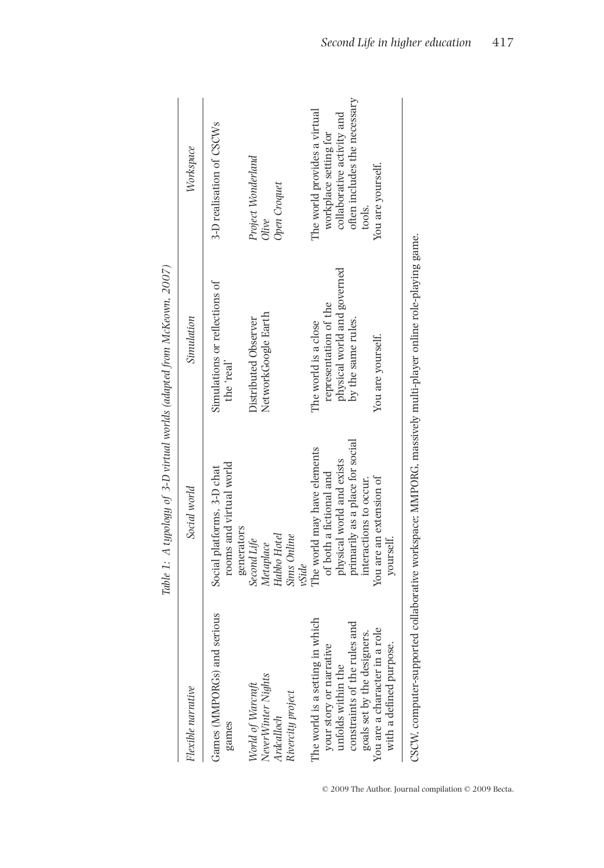|                                                                                         | Table 1: A typology of 3-D virtual worlds (adapted from McKeown, 2007)                                     |                                                   |                                                            |
|-----------------------------------------------------------------------------------------|------------------------------------------------------------------------------------------------------------|---------------------------------------------------|------------------------------------------------------------|
| Flexible narrative                                                                      | Social world                                                                                               | Simulation                                        | Workspace                                                  |
| serious<br>Games (MMPORGs) and<br>games                                                 | rooms and virtual world<br>Social platforms, 3-D chat<br>generators                                        | Simulations or reflections of<br>the 'real'       | 3-D realisation of CSCWs                                   |
| NeverWinter Nights<br>World of Warcraft<br>Ardcalloch                                   | Habbo Hotel<br>Second Life<br><b>Metaplace</b>                                                             | NetworkGoogle Earth<br>Distributed Observer       | Project Wonderland<br>Open Croquet<br><b>Olive</b>         |
| Rivercity project                                                                       | <b>Sims Online</b><br>vSide                                                                                |                                                   |                                                            |
| The world is a setting in which<br>your story or narrative                              | The world may have elements<br>of both a fictional and                                                     | representation of the<br>The world is a close     | The world provides a virtual<br>workplace setting for      |
| constraints of the rules and<br>unfolds within the                                      | primarily as a place for social<br>physical world and exists                                               | physical world and governed<br>by the same rules. | often includes the necessary<br>collaborative activity and |
| You are a character in a role<br>goals set by the designers.<br>with a defined purpose. | You are an extension of<br>interactions to occur.                                                          | You are yourself.                                 | You are yourself.<br>tools.                                |
|                                                                                         | yourself.                                                                                                  |                                                   |                                                            |
|                                                                                         | CSCW, computer-supported collaborative workspace: MMPORG, massively multi-player online role-playing game. |                                                   |                                                            |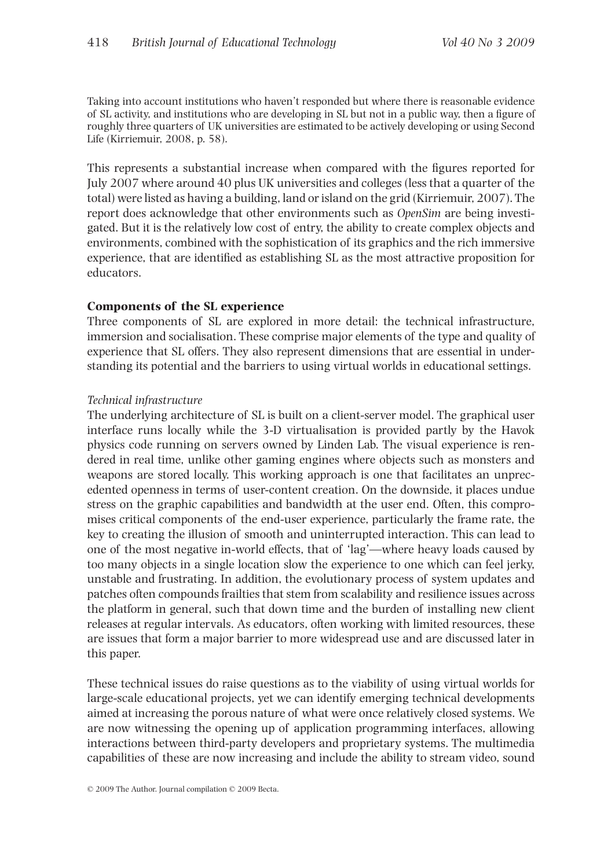Taking into account institutions who haven't responded but where there is reasonable evidence of SL activity, and institutions who are developing in SL but not in a public way, then a figure of roughly three quarters of UK universities are estimated to be actively developing or using Second Life (Kirriemuir, 2008, p. 58).

This represents a substantial increase when compared with the figures reported for July 2007 where around 40 plus UK universities and colleges (less that a quarter of the total) were listed as having a building, land or island on the grid (Kirriemuir, 2007). The report does acknowledge that other environments such as *OpenSim* are being investigated. But it is the relatively low cost of entry, the ability to create complex objects and environments, combined with the sophistication of its graphics and the rich immersive experience, that are identified as establishing SL as the most attractive proposition for educators.

#### **Components of the SL experience**

Three components of SL are explored in more detail: the technical infrastructure, immersion and socialisation. These comprise major elements of the type and quality of experience that SL offers. They also represent dimensions that are essential in understanding its potential and the barriers to using virtual worlds in educational settings.

#### *Technical infrastructure*

The underlying architecture of SL is built on a client-server model. The graphical user interface runs locally while the 3-D virtualisation is provided partly by the Havok physics code running on servers owned by Linden Lab. The visual experience is rendered in real time, unlike other gaming engines where objects such as monsters and weapons are stored locally. This working approach is one that facilitates an unprecedented openness in terms of user-content creation. On the downside, it places undue stress on the graphic capabilities and bandwidth at the user end. Often, this compromises critical components of the end-user experience, particularly the frame rate, the key to creating the illusion of smooth and uninterrupted interaction. This can lead to one of the most negative in-world effects, that of 'lag'—where heavy loads caused by too many objects in a single location slow the experience to one which can feel jerky, unstable and frustrating. In addition, the evolutionary process of system updates and patches often compounds frailties that stem from scalability and resilience issues across the platform in general, such that down time and the burden of installing new client releases at regular intervals. As educators, often working with limited resources, these are issues that form a major barrier to more widespread use and are discussed later in this paper.

These technical issues do raise questions as to the viability of using virtual worlds for large-scale educational projects, yet we can identify emerging technical developments aimed at increasing the porous nature of what were once relatively closed systems. We are now witnessing the opening up of application programming interfaces, allowing interactions between third-party developers and proprietary systems. The multimedia capabilities of these are now increasing and include the ability to stream video, sound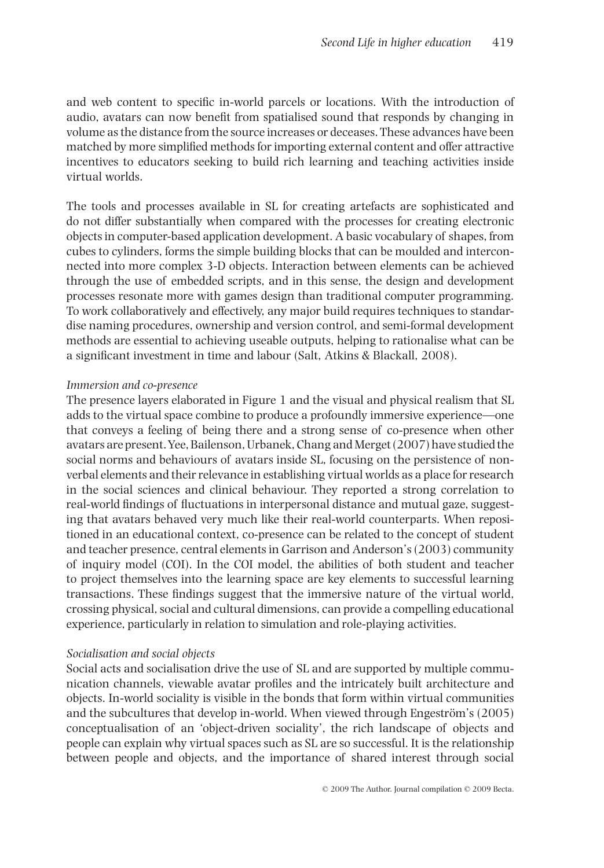and web content to specific in-world parcels or locations. With the introduction of audio, avatars can now benefit from spatialised sound that responds by changing in volume as the distance from the source increases or deceases. These advances have been matched by more simplified methods for importing external content and offer attractive incentives to educators seeking to build rich learning and teaching activities inside virtual worlds.

The tools and processes available in SL for creating artefacts are sophisticated and do not differ substantially when compared with the processes for creating electronic objects in computer-based application development. A basic vocabulary of shapes, from cubes to cylinders, forms the simple building blocks that can be moulded and interconnected into more complex 3-D objects. Interaction between elements can be achieved through the use of embedded scripts, and in this sense, the design and development processes resonate more with games design than traditional computer programming. To work collaboratively and effectively, any major build requires techniques to standardise naming procedures, ownership and version control, and semi-formal development methods are essential to achieving useable outputs, helping to rationalise what can be a significant investment in time and labour (Salt, Atkins & Blackall, 2008).

#### *Immersion and co-presence*

The presence layers elaborated in Figure 1 and the visual and physical realism that SL adds to the virtual space combine to produce a profoundly immersive experience—one that conveys a feeling of being there and a strong sense of co-presence when other avatars are present.Yee, Bailenson, Urbanek, Chang and Merget (2007) have studied the social norms and behaviours of avatars inside SL, focusing on the persistence of nonverbal elements and their relevance in establishing virtual worlds as a place for research in the social sciences and clinical behaviour. They reported a strong correlation to real-world findings of fluctuations in interpersonal distance and mutual gaze, suggesting that avatars behaved very much like their real-world counterparts. When repositioned in an educational context, co-presence can be related to the concept of student and teacher presence, central elements in Garrison and Anderson's (2003) community of inquiry model (COI). In the COI model, the abilities of both student and teacher to project themselves into the learning space are key elements to successful learning transactions. These findings suggest that the immersive nature of the virtual world, crossing physical, social and cultural dimensions, can provide a compelling educational experience, particularly in relation to simulation and role-playing activities.

#### *Socialisation and social objects*

Social acts and socialisation drive the use of SL and are supported by multiple communication channels, viewable avatar profiles and the intricately built architecture and objects. In-world sociality is visible in the bonds that form within virtual communities and the subcultures that develop in-world. When viewed through Engeström's (2005) conceptualisation of an 'object-driven sociality', the rich landscape of objects and people can explain why virtual spaces such as SL are so successful. It is the relationship between people and objects, and the importance of shared interest through social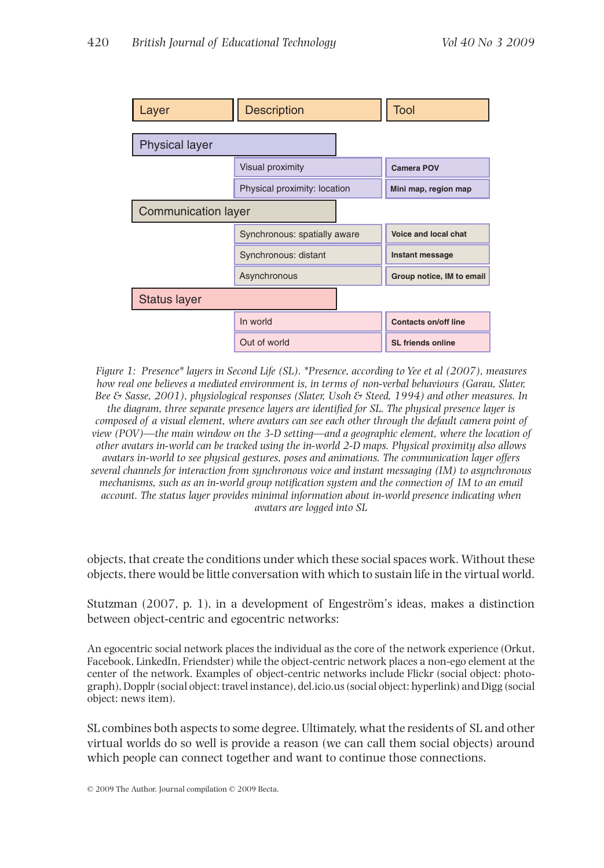

*Figure 1: Presence\* layers in Second Life (SL). \*Presence, according to Yee et al (2007), measures how real one believes a mediated environment is, in terms of non-verbal behaviours (Garau, Slater, Bee & Sasse, 2001), physiological responses (Slater, Usoh & Steed, 1994) and other measures. In the diagram, three separate presence layers are identified for SL. The physical presence layer is composed of a visual element, where avatars can see each other through the default camera point of view (POV)—the main window on the 3-D setting—and a geographic element, where the location of other avatars in-world can be tracked using the in-world 2-D maps. Physical proximity also allows avatars in-world to see physical gestures, poses and animations. The communication layer offers several channels for interaction from synchronous voice and instant messaging (IM) to asynchronous mechanisms, such as an in-world group notification system and the connection of IM to an email account. The status layer provides minimal information about in-world presence indicating when avatars are logged into SL*

objects, that create the conditions under which these social spaces work. Without these objects, there would be little conversation with which to sustain life in the virtual world.

Stutzman (2007, p. 1), in a development of Engeström's ideas, makes a distinction between object-centric and egocentric networks:

An egocentric social network places the individual as the core of the network experience (Orkut, Facebook, LinkedIn, Friendster) while the object-centric network places a non-ego element at the center of the network. Examples of object-centric networks include Flickr (social object: photograph), Dopplr (social object: travel instance), del.icio.us (social object: hyperlink) and Digg (social object: news item).

SL combines both aspects to some degree. Ultimately, what the residents of SL and other virtual worlds do so well is provide a reason (we can call them social objects) around which people can connect together and want to continue those connections.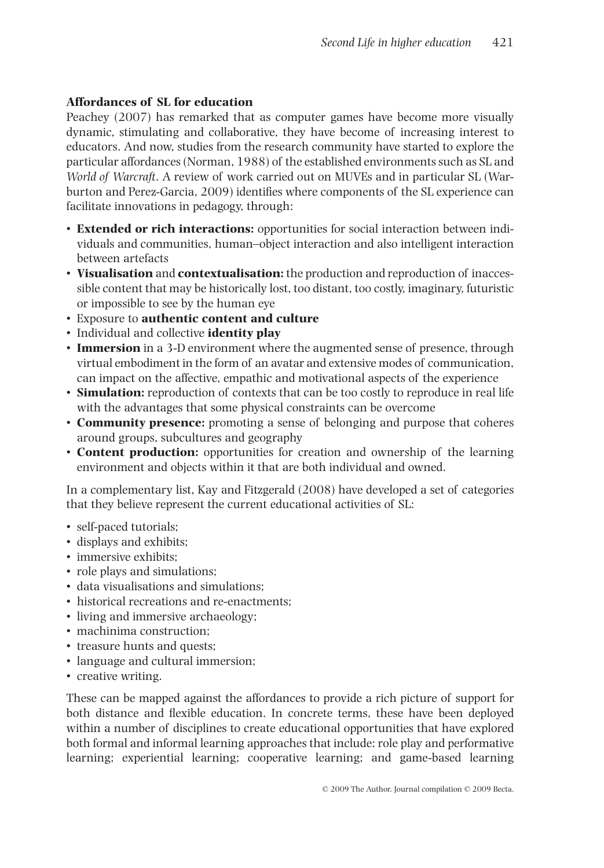### **Affordances of SL for education**

Peachey (2007) has remarked that as computer games have become more visually dynamic, stimulating and collaborative, they have become of increasing interest to educators. And now, studies from the research community have started to explore the particular affordances (Norman, 1988) of the established environments such as SL and *World of Warcraft*. A review of work carried out on MUVEs and in particular SL (Warburton and Perez-Garcia, 2009) identifies where components of the SL experience can facilitate innovations in pedagogy, through:

- **Extended or rich interactions:** opportunities for social interaction between individuals and communities, human–object interaction and also intelligent interaction between artefacts
- **Visualisation** and **contextualisation:** the production and reproduction of inaccessible content that may be historically lost, too distant, too costly, imaginary, futuristic or impossible to see by the human eye
- Exposure to **authentic content and culture**
- Individual and collective **identity play**
- **Immersion** in a 3-D environment where the augmented sense of presence, through virtual embodiment in the form of an avatar and extensive modes of communication, can impact on the affective, empathic and motivational aspects of the experience
- **Simulation:** reproduction of contexts that can be too costly to reproduce in real life with the advantages that some physical constraints can be overcome
- **Community presence:** promoting a sense of belonging and purpose that coheres around groups, subcultures and geography
- **Content production:** opportunities for creation and ownership of the learning environment and objects within it that are both individual and owned.

In a complementary list, Kay and Fitzgerald (2008) have developed a set of categories that they believe represent the current educational activities of SL:

- self-paced tutorials;
- displays and exhibits;
- immersive exhibits:
- role plays and simulations:
- data visualisations and simulations;
- historical recreations and re-enactments;
- living and immersive archaeology;
- machinima construction;
- treasure hunts and quests;
- language and cultural immersion;
- creative writing.

These can be mapped against the affordances to provide a rich picture of support for both distance and flexible education. In concrete terms, these have been deployed within a number of disciplines to create educational opportunities that have explored both formal and informal learning approaches that include: role play and performative learning; experiential learning; cooperative learning; and game-based learning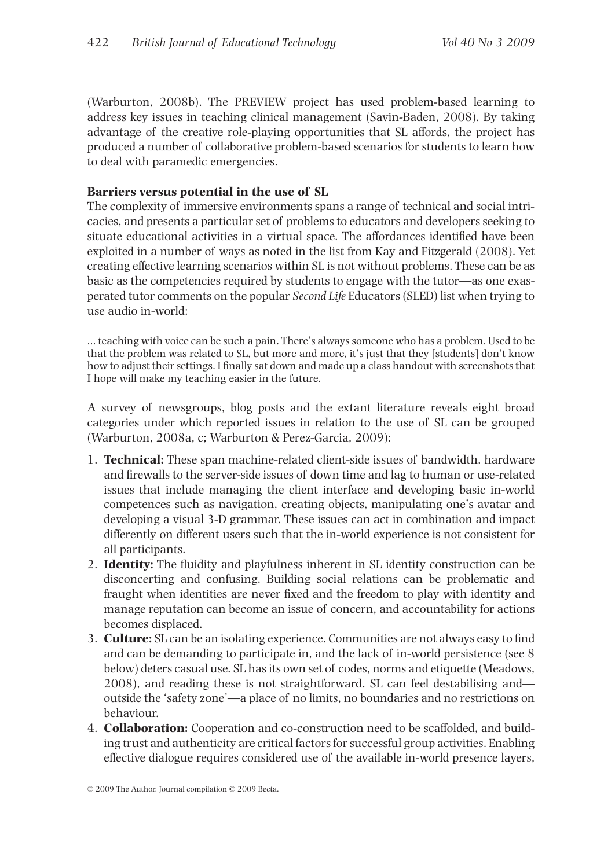(Warburton, 2008b). The PREVIEW project has used problem-based learning to address key issues in teaching clinical management (Savin-Baden, 2008). By taking advantage of the creative role-playing opportunities that SL affords, the project has produced a number of collaborative problem-based scenarios for students to learn how to deal with paramedic emergencies.

# **Barriers versus potential in the use of SL**

The complexity of immersive environments spans a range of technical and social intricacies, and presents a particular set of problems to educators and developers seeking to situate educational activities in a virtual space. The affordances identified have been exploited in a number of ways as noted in the list from Kay and Fitzgerald (2008). Yet creating effective learning scenarios within SL is not without problems. These can be as basic as the competencies required by students to engage with the tutor—as one exasperated tutor comments on the popular *Second Life* Educators (SLED) list when trying to use audio in-world:

... teaching with voice can be such a pain. There's always someone who has a problem. Used to be that the problem was related to SL, but more and more, it's just that they [students] don't know how to adjust their settings. I finally sat down and made up a class handout with screenshots that I hope will make my teaching easier in the future.

A survey of newsgroups, blog posts and the extant literature reveals eight broad categories under which reported issues in relation to the use of SL can be grouped (Warburton, 2008a, c; Warburton & Perez-Garcia, 2009):

- 1. **Technical:** These span machine-related client-side issues of bandwidth, hardware and firewalls to the server-side issues of down time and lag to human or use-related issues that include managing the client interface and developing basic in-world competences such as navigation, creating objects, manipulating one's avatar and developing a visual 3-D grammar. These issues can act in combination and impact differently on different users such that the in-world experience is not consistent for all participants.
- 2. **Identity:** The fluidity and playfulness inherent in SL identity construction can be disconcerting and confusing. Building social relations can be problematic and fraught when identities are never fixed and the freedom to play with identity and manage reputation can become an issue of concern, and accountability for actions becomes displaced.
- 3. **Culture:** SL can be an isolating experience. Communities are not always easy to find and can be demanding to participate in, and the lack of in-world persistence (see 8 below) deters casual use. SL has its own set of codes, norms and etiquette (Meadows, 2008), and reading these is not straightforward. SL can feel destabilising and outside the 'safety zone'—a place of no limits, no boundaries and no restrictions on behaviour.
- 4. **Collaboration:** Cooperation and co-construction need to be scaffolded, and building trust and authenticity are critical factors for successful group activities. Enabling effective dialogue requires considered use of the available in-world presence layers,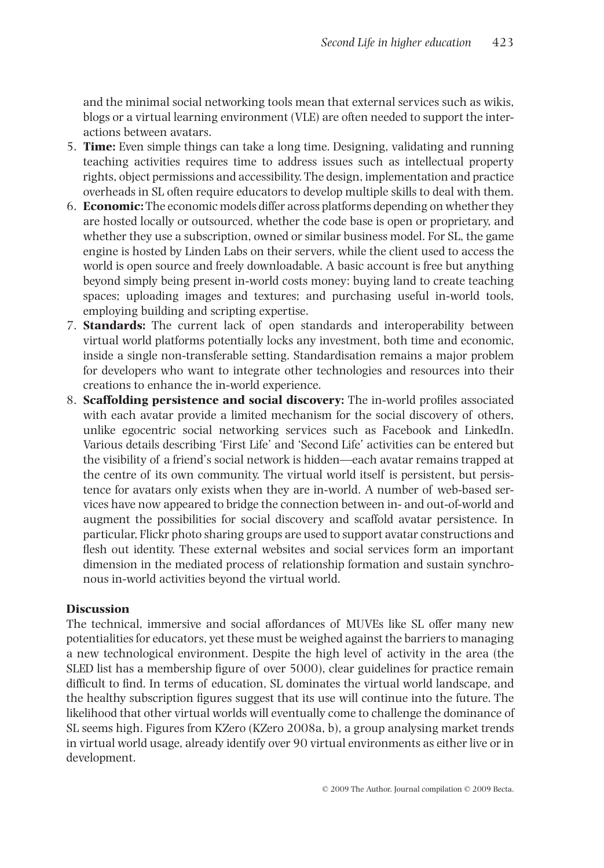and the minimal social networking tools mean that external services such as wikis, blogs or a virtual learning environment (VLE) are often needed to support the interactions between avatars.

- 5. **Time:** Even simple things can take a long time. Designing, validating and running teaching activities requires time to address issues such as intellectual property rights, object permissions and accessibility. The design, implementation and practice overheads in SL often require educators to develop multiple skills to deal with them.
- 6. **Economic:**The economic models differ across platforms depending on whether they are hosted locally or outsourced, whether the code base is open or proprietary, and whether they use a subscription, owned or similar business model. For SL, the game engine is hosted by Linden Labs on their servers, while the client used to access the world is open source and freely downloadable. A basic account is free but anything beyond simply being present in-world costs money: buying land to create teaching spaces; uploading images and textures; and purchasing useful in-world tools, employing building and scripting expertise.
- 7. **Standards:** The current lack of open standards and interoperability between virtual world platforms potentially locks any investment, both time and economic, inside a single non-transferable setting. Standardisation remains a major problem for developers who want to integrate other technologies and resources into their creations to enhance the in-world experience.
- 8. **Scaffolding persistence and social discovery:** The in-world profiles associated with each avatar provide a limited mechanism for the social discovery of others, unlike egocentric social networking services such as Facebook and LinkedIn. Various details describing 'First Life' and 'Second Life' activities can be entered but the visibility of a friend's social network is hidden—each avatar remains trapped at the centre of its own community. The virtual world itself is persistent, but persistence for avatars only exists when they are in-world. A number of web-based services have now appeared to bridge the connection between in- and out-of-world and augment the possibilities for social discovery and scaffold avatar persistence. In particular, Flickr photo sharing groups are used to support avatar constructions and flesh out identity. These external websites and social services form an important dimension in the mediated process of relationship formation and sustain synchronous in-world activities beyond the virtual world.

#### **Discussion**

The technical, immersive and social affordances of MUVEs like SL offer many new potentialities for educators, yet these must be weighed against the barriers to managing a new technological environment. Despite the high level of activity in the area (the SLED list has a membership figure of over 5000), clear guidelines for practice remain difficult to find. In terms of education, SL dominates the virtual world landscape, and the healthy subscription figures suggest that its use will continue into the future. The likelihood that other virtual worlds will eventually come to challenge the dominance of SL seems high. Figures from KZero (KZero 2008a, b), a group analysing market trends in virtual world usage, already identify over 90 virtual environments as either live or in development.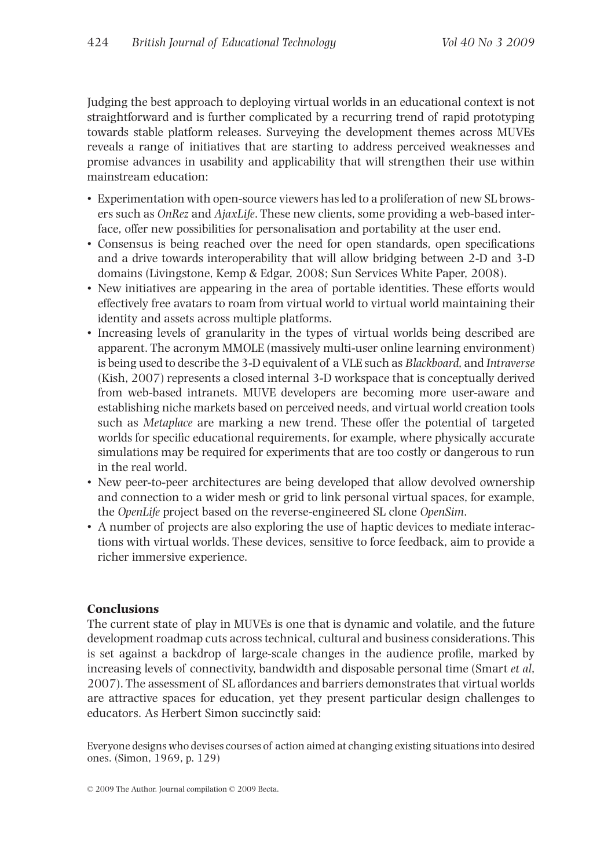Judging the best approach to deploying virtual worlds in an educational context is not straightforward and is further complicated by a recurring trend of rapid prototyping towards stable platform releases. Surveying the development themes across MUVEs reveals a range of initiatives that are starting to address perceived weaknesses and promise advances in usability and applicability that will strengthen their use within mainstream education:

- Experimentation with open-source viewers has led to a proliferation of new SL browsers such as *OnRez* and *AjaxLife*. These new clients, some providing a web-based interface, offer new possibilities for personalisation and portability at the user end.
- Consensus is being reached over the need for open standards, open specifications and a drive towards interoperability that will allow bridging between 2-D and 3-D domains (Livingstone, Kemp & Edgar, 2008; Sun Services White Paper, 2008).
- New initiatives are appearing in the area of portable identities. These efforts would effectively free avatars to roam from virtual world to virtual world maintaining their identity and assets across multiple platforms.
- Increasing levels of granularity in the types of virtual worlds being described are apparent. The acronym MMOLE (massively multi-user online learning environment) is being used to describe the 3-D equivalent of a VLE such as *Blackboard*, and *Intraverse* (Kish, 2007) represents a closed internal 3-D workspace that is conceptually derived from web-based intranets. MUVE developers are becoming more user-aware and establishing niche markets based on perceived needs, and virtual world creation tools such as *Metaplace* are marking a new trend. These offer the potential of targeted worlds for specific educational requirements, for example, where physically accurate simulations may be required for experiments that are too costly or dangerous to run in the real world.
- New peer-to-peer architectures are being developed that allow devolved ownership and connection to a wider mesh or grid to link personal virtual spaces, for example, the *OpenLife* project based on the reverse-engineered SL clone *OpenSim*.
- A number of projects are also exploring the use of haptic devices to mediate interactions with virtual worlds. These devices, sensitive to force feedback, aim to provide a richer immersive experience.

# **Conclusions**

The current state of play in MUVEs is one that is dynamic and volatile, and the future development roadmap cuts across technical, cultural and business considerations. This is set against a backdrop of large-scale changes in the audience profile, marked by increasing levels of connectivity, bandwidth and disposable personal time (Smart *et al*, 2007). The assessment of SL affordances and barriers demonstrates that virtual worlds are attractive spaces for education, yet they present particular design challenges to educators. As Herbert Simon succinctly said:

Everyone designs who devises courses of action aimed at changing existing situations into desired ones. (Simon, 1969, p. 129)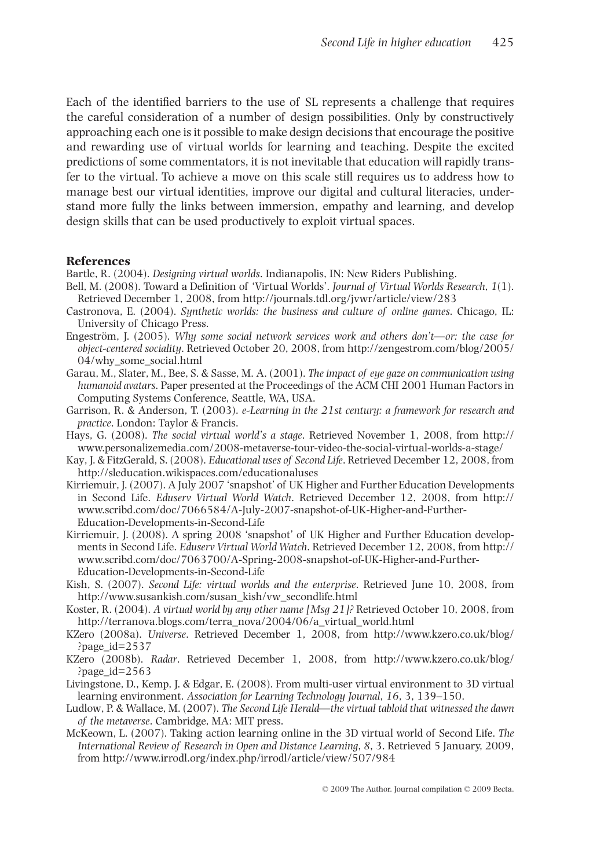Each of the identified barriers to the use of SL represents a challenge that requires the careful consideration of a number of design possibilities. Only by constructively approaching each one is it possible to make design decisions that encourage the positive and rewarding use of virtual worlds for learning and teaching. Despite the excited predictions of some commentators, it is not inevitable that education will rapidly transfer to the virtual. To achieve a move on this scale still requires us to address how to manage best our virtual identities, improve our digital and cultural literacies, understand more fully the links between immersion, empathy and learning, and develop design skills that can be used productively to exploit virtual spaces.

#### **References**

Bartle, R. (2004). *Designing virtual worlds*. Indianapolis, IN: New Riders Publishing.

- Bell, M. (2008). Toward a Definition of 'Virtual Worlds'. *Journal of Virtual Worlds Research*, *1*(1). Retrieved December 1, 2008, from<http://journals.tdl.org/jvwr/article/view/283>
- Castronova, E. (2004). *Synthetic worlds: the business and culture of online games*. Chicago, IL: University of Chicago Press.
- Engeström, J. (2005). *Why some social network services work and others don't—or: the case for object-centered sociality*. Retrieved October 20, 2008, from [http://zengestrom.com/blog/2005/](http://zengestrom.com/blog/2005) 04/why\_some\_social.html
- Garau, M., Slater, M., Bee, S. & Sasse, M. A. (2001). *The impact of eye gaze on communication using humanoid avatars*. Paper presented at the Proceedings of the ACM CHI 2001 Human Factors in Computing Systems Conference, Seattle, WA, USA.
- Garrison, R. & Anderson, T. (2003). *e-Learning in the 21st century: a framework for research and practice*. London: Taylor & Francis.
- Hays, G. (2008). *The social virtual world's a stage*. Retrieved November 1, 2008, from [http://](http://www.personalizemedia.com/2008-metaverse-tour-video-the-social-virtual-worlds-a-stage) [www.personalizemedia.com/2008-metaverse-tour-video-the-social-virtual-worlds-a-stage/](http://www.personalizemedia.com/2008-metaverse-tour-video-the-social-virtual-worlds-a-stage)
- Kay, J. & FitzGerald, S. (2008). *Educational uses of Second Life*. Retrieved December 12, 2008, from <http://sleducation.wikispaces.com/educationaluses>
- Kirriemuir, J. (2007). A July 2007 'snapshot' of UK Higher and Further Education Developments in Second Life. *Eduserv Virtual World Watch*. Retrieved December 12, 2008, from [http://](http://www.scribd.com/doc/7066584/A-July-2007-snapshot-of-UK-Higher-and-Further-Education-Developments-in-Second-Life) [www.scribd.com/doc/7066584/A-July-2007-snapshot-of-UK-Higher-and-Further-](http://www.scribd.com/doc/7066584/A-July-2007-snapshot-of-UK-Higher-and-Further-Education-Developments-in-Second-Life)[Education-Developments-in-Second-Life](http://www.scribd.com/doc/7066584/A-July-2007-snapshot-of-UK-Higher-and-Further-Education-Developments-in-Second-Life)
- Kirriemuir, J. (2008). A spring 2008 'snapshot' of UK Higher and Further Education developments in Second Life. *Eduserv Virtual World Watch*. Retrieved December 12, 2008, from [http://](http://www.scribd.com/doc/7063700/A-Spring-2008-snapshot-of-UK-Higher-and-Further-Education-Developments-in-Second-Life) [www.scribd.com/doc/7063700/A-Spring-2008-snapshot-of-UK-Higher-and-Further-](http://www.scribd.com/doc/7063700/A-Spring-2008-snapshot-of-UK-Higher-and-Further-Education-Developments-in-Second-Life)[Education-Developments-in-Second-Life](http://www.scribd.com/doc/7063700/A-Spring-2008-snapshot-of-UK-Higher-and-Further-Education-Developments-in-Second-Life)
- Kish, S. (2007). *Second Life: virtual worlds and the enterprise*. Retrieved June 10, 2008, from [http://www.susankish.com/susan\\_kish/vw\\_secondlife.html](http://www.susankish.com/susan_kish/vw_secondlife.html)
- Koster, R. (2004). *A virtual world by any other name [Msg 21]?* Retrieved October 10, 2008, from [http://terranova.blogs.com/terra\\_nova/2004/06/a\\_virtual\\_world.html](http://terranova.blogs.com/terra_nova/2004/06/a_virtual_world.html)
- KZero (2008a). *Universe*. Retrieved December 1, 2008, from [http://www.kzero.co.uk/blog/](http://www.kzero.co.uk/blog) ?page\_id=2537
- KZero (2008b). *Radar*. Retrieved December 1, 2008, from [http://www.kzero.co.uk/blog/](http://www.kzero.co.uk/blog) ?page $id=2563$
- Livingstone, D., Kemp, J. & Edgar, E. (2008). From multi-user virtual environment to 3D virtual learning environment. *Association for Learning Technology Journal*, *16*, 3, 139–150.
- Ludlow, P. & Wallace, M. (2007). *The Second Life Herald—the virtual tabloid that witnessed the dawn of the metaverse*. Cambridge, MA: MIT press.
- McKeown, L. (2007). Taking action learning online in the 3D virtual world of Second Life. *The International Review of Research in Open and Distance Learning*, *8*, 3. Retrieved 5 January, 2009, from<http://www.irrodl.org/index.php/irrodl/article/view/507/984>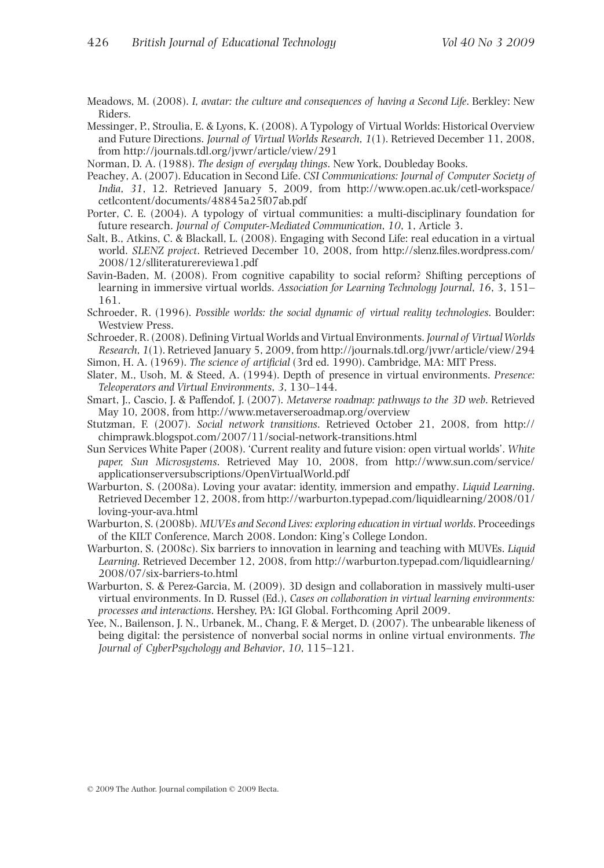- Meadows, M. (2008). *I, avatar: the culture and consequences of having a Second Life*. Berkley: New Riders.
- Messinger, P., Stroulia, E. & Lyons, K. (2008). A Typology of Virtual Worlds: Historical Overview and Future Directions. *Journal of Virtual Worlds Research*, *1*(1). Retrieved December 11, 2008, from<http://journals.tdl.org/jvwr/article/view/291>
- Norman, D. A. (1988). *The design of everyday things*. New York, Doubleday Books.
- Peachey, A. (2007). Education in Second Life. *CSI Communications: Journal of Computer Society of India*, *31*, 12. Retrieved January 5, 2009, from [http://www.open.ac.uk/cetl-workspace/](http://www.open.ac.uk/cetl-workspace) cetlcontent/documents/48845a25f07ab.pdf
- Porter, C. E. (2004). A typology of virtual communities: a multi-disciplinary foundation for future research. *Journal of Computer-Mediated Communication*, *10*, 1, Article 3.
- Salt, B., Atkins, C. & Blackall, L. (2008). Engaging with Second Life: real education in a virtual world. *SLENZ project*. Retrieved December 10, 2008, from [http://slenz.files.wordpress.com/](http://slenz.files.wordpress.com) 2008/12/slliteraturereviewa1.pdf
- Savin-Baden, M. (2008). From cognitive capability to social reform? Shifting perceptions of learning in immersive virtual worlds. *Association for Learning Technology Journal*, *16*, 3, 151– 161.
- Schroeder, R. (1996). *Possible worlds: the social dynamic of virtual reality technologies*. Boulder: Westview Press.
- Schroeder, R. (2008). Defining Virtual Worlds and Virtual Environments. *Journal of Virtual Worlds Research*, *1*(1). Retrieved January 5, 2009, from<http://journals.tdl.org/jvwr/article/view/294> Simon, H. A. (1969). *The science of artificial* (3rd ed. 1990). Cambridge, MA: MIT Press.
- Slater, M., Usoh, M. & Steed, A. (1994). Depth of presence in virtual environments. *Presence: Teleoperators and Virtual Environments*, *3*, 130–144.
- Smart, J., Cascio, J. & Paffendof, J. (2007). *Metaverse roadmap: pathways to the 3D web*. Retrieved May 10, 2008, from<http://www.metaverseroadmap.org/overview>
- Stutzman, F. (2007). *Social network transitions*. Retrieved October 21, 2008, from [http://](http://chimprawk.blogspot.com/2007/11/social-network-transitions.html) [chimprawk.blogspot.com/2007/11/social-network-transitions.html](http://chimprawk.blogspot.com/2007/11/social-network-transitions.html)
- Sun Services White Paper (2008). 'Current reality and future vision: open virtual worlds'. *White paper, Sun Microsystems*. Retrieved May 10, 2008, from [http://www.sun.com/service/](http://www.sun.com/service) applicationserversubscriptions/OpenVirtualWorld.pdf
- Warburton, S. (2008a). Loving your avatar: identity, immersion and empathy. *Liquid Learning*. Retrieved December 12, 2008, from [http://warburton.typepad.com/liquidlearning/2008/01/](http://warburton.typepad.com/liquidlearning/2008/01) loving-your-ava.html
- Warburton, S. (2008b). *MUVEs and Second Lives: exploring education in virtual worlds*. Proceedings of the KILT Conference, March 2008. London: King's College London.
- Warburton, S. (2008c). Six barriers to innovation in learning and teaching with MUVEs. *Liquid Learning*. Retrieved December 12, 2008, from [http://warburton.typepad.com/liquidlearning/](http://warburton.typepad.com/liquidlearning) 2008/07/six-barriers-to.html
- Warburton, S. & Perez-Garcia, M. (2009). 3D design and collaboration in massively multi-user virtual environments. In D. Russel (Ed.), *Cases on collaboration in virtual learning environments: processes and interactions*. Hershey, PA: IGI Global. Forthcoming April 2009.
- Yee, N., Bailenson, J. N., Urbanek, M., Chang, F. & Merget, D. (2007). The unbearable likeness of being digital: the persistence of nonverbal social norms in online virtual environments. *The Journal of CyberPsychology and Behavior*, *10*, 115–121.